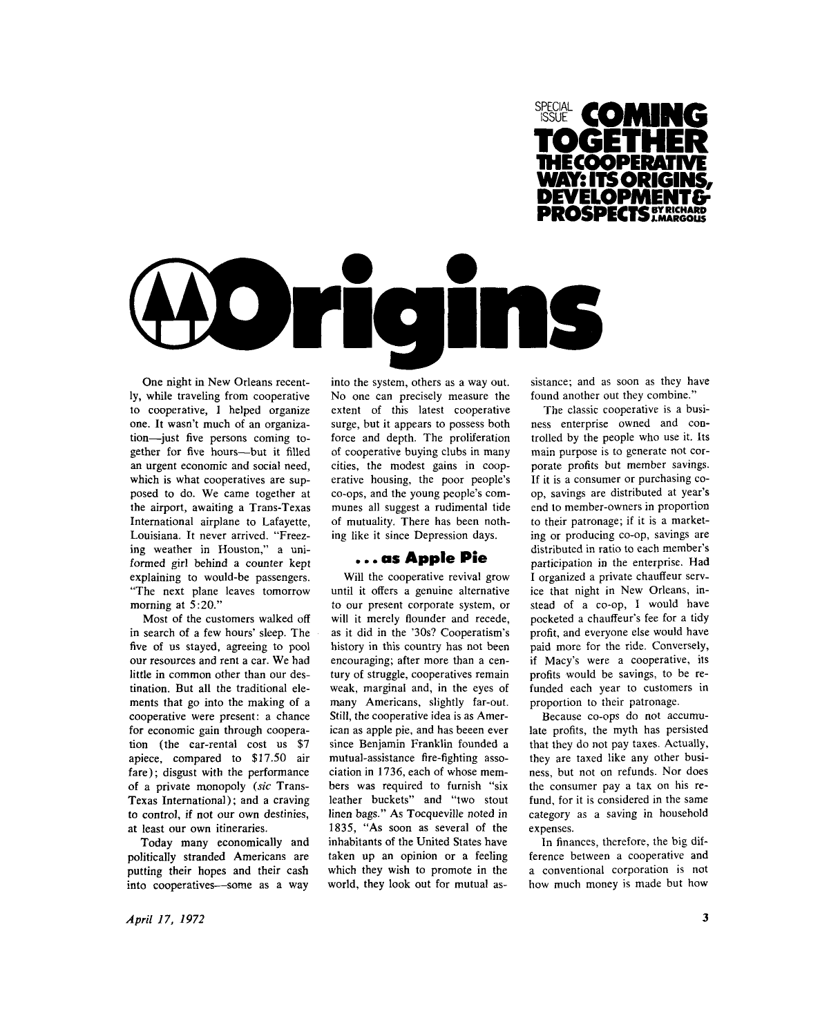



One night in New Orleans recently, while traveling from cooperative to cooperative, 1 helped organize one. It wasn't much of an organization—just five persons coming together for five hours—but it filled an urgent economic and social need, which is what cooperatives are supposed to do. We came together at the airport, awaiting a Trans-Texas International airplane to Lafayette, Louisiana. It never arrived. "Freezing weather in Houston," a uniformed girl behind a counter kept explaining to would-be passengers. "The next plane leaves tomorrow morning at 5:20."

Most of the customers walked off in search of a few hours' sleep. The five of us stayed, agreeing to pool our resources and rent a car. We had little in common other than our destination. But all the traditional elements that go into the making of a cooperative were present: a chance for economic gain through cooperation (the car-rental cost us \$7 apiece, compared to \$17.50 air fare); disgust with the performance of a private monopoly *(sic* Trans-Texas International); and a craving to control, if not our own destinies, at least our own itineraries.

Today many economically and politically stranded Americans are putting their hopes and their cash into cooperatives—some as a way

into the system, others as a way out. No one can precisely measure the extent of this latest cooperative surge, but it appears to possess both force and depth. The proliferation of cooperative buying clubs in many cities, the modest gains in cooperative housing, the poor people's co-ops, and the young people's communes all suggest a rudimental tide of mutuality. There has been nothing like it since Depression days.

#### . . . as Apple Pie

Will the cooperative revival grow until it offers a genuine alternative to our present corporate system, or will it merely flounder and recede, as it did in the '30s? Cooperatism's history in this country has not been encouraging; after more than a century of struggle, cooperatives remain weak, marginal and, in the eyes of many Americans, slightly far-out. Still, the cooperative idea is as American as apple pie, and has beeen ever since Benjamin Franklin founded a mutual-assistance fire-fighting association in 1736, each of whose members was required to furnish "six leather buckets" and "two stout linen bags." As Tocqueville noted in 1835, "As soon as several of the inhabitants of the United States have taken up an opinion or a feeling which they wish to promote in the world, they look out for mutual assistance; and as soon as they have found another out they combine."

The classic cooperative is a business enterprise owned and controlled by the people who use it. Its main purpose is to generate not corporate profits but member savings. If it is a consumer or purchasing coop, savings are distributed at year's end lo member-owners in proportion to their patronage; if it is a marketing or producing co-op, savings are distributed in ratio to each member's participation in the enterprise. Had I organized a private chauffeur service that night in New Orleans, instead of a co-op, I would have pocketed a chauffeur's fee for a tidy profit, and everyone else would have paid more for the ride. Conversely, if Macy's were a cooperative, its profits would be savings, to be refunded each year to customers in proportion to their patronage.

Because co-ops do not accumulate profits, the myth has persisted that they do not pay taxes. Actually, they are taxed like any other business, but not on refunds. Nor does the consumer pay a tax on his refund, for it is considered in the same category as a saving in household expenses.

In finances, therefore, the big difference between a cooperative and a conventional corporation is not how much money is made but how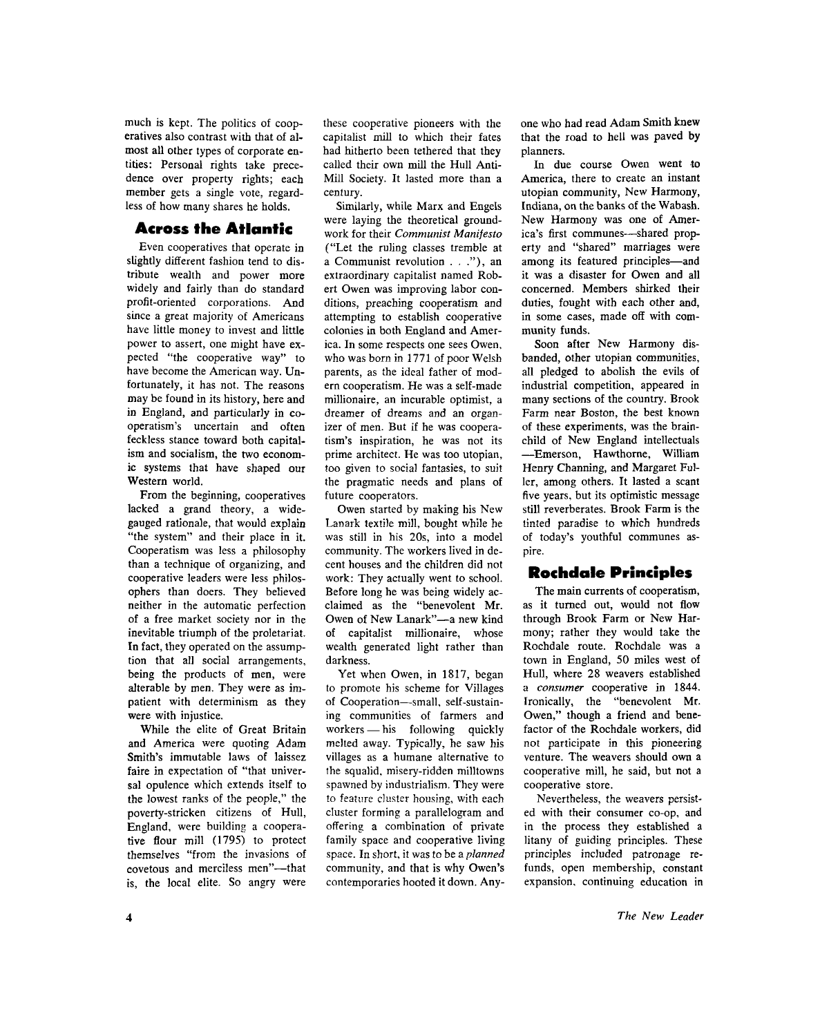much is kept. The politics of cooperatives also contrast with that of almost all other types of corporate entities: Personal rights take precedence over property rights; each member gets a single vote, regardless of how many shares he holds.

## Across the Atlantic

Even cooperatives that operate in slightly different fashion tend to distribute wealth and power more widely and fairly than do standard profit-oriented corporations. And since a great majority of Americans have little money to invest and little power to assert, one might have expected "the cooperative way" to have become the American way. Un fortunately, it has not. The reasons may be found in its history, here and in England, and particularly in cooperatism's uncertain and often feckless stance toward both capitalism and socialism, the two economic systems that have shaped our Western world.

From the beginning, cooperatives lacked a grand theory, a widegauged rationale, that would explain "the system" and their place in it. Cooperatism was less a philosophy than a technique of organizing, and cooperative leaders were less philosophers than doers. They believed neither in the automatic perfection of a free market society nor in the inevitable triumph of the proletariat. In fact, they operated on the assumption that all social arrangements, being the products of men, were alterable by men. They were as impatient with determinism as they were with injustice.

While the elite of Great Britain and America were quoting Adam Smith's immutable laws of laissez faire in expectation of "that universal opulence which extends itself to the lowest ranks of the people," the poverty-stricken citizens of Hull, England, were building a cooperative flour mill (1795) to protect themselves "from the invasions of covetous and merciless men"—that is, the local elite. So angry were

these cooperative pioneers with the capitalist mill to which their fates had hitherto been tethered that they called their own mill the Hull Anti-Mill Society. It lasted more than a century.

Similarly, while Marx and Engels were laying the theoretical groundwork for their *Communist Manifesto*  ("Let the ruling classes tremble at a Communist revolution  $\ldots$ "), an extraordinary capitalist named Robert Owen was improving labor conditions, preaching cooperatism and attempting to establish cooperative colonies in both England and America. In some respects one sees Owen, who was born in 1771 of poor Welsh parents, as the ideal father of modern cooperatism. He was a self-made millionaire, an incurable optimist, a dreamer of dreams and an organizer of men. But if he was cooperatism's inspiration, he was not its prime architect. He was too utopian, too given to social fantasies, to suit the pragmatic needs and plans of future cooperators.

Owen started by making his New Lanark textile mill, bought while be was still in his 20s, into a model community. The workers lived in decent houses and the children did not work: They actually went to school. Before long he was being widely acclaimed as the "benevolent Mr. Owen of New Lanark"—a new kind of capitalist millionaire, whose wealth generated light rather than darkness.

Yet when Owen, in 1817, began to promote his scheme for Villages of Cooperation—small, self-sustaining communities of farmers and workers — his following quickly melted away. Typically, he saw his villages as a humane alternative to the squalid, misery-ridden milltowns spawned by industrialism. They were to feature cluster housing, with each cluster forming a parallelogram and offering a combination of private family space and cooperative living space. In short, it was to be a *planned*  community, and that is why Owen's contemporaries hooted it down. Anyone who had read Adam Smith knew that the road to hell was paved by planners.

In due course Owen went to America, there to create an instant utopian community, New Harmony, Indiana, on the banks of the Wabash. New Harmony was one of America's first communes—shared property and "shared" marriages were among its featured principles—and it was a disaster for Owen and all concerned. Members shirked their duties, fought with each other and, in some cases, made off with community funds.

Soon after New Harmony disbanded, other utopian communities, all pledged to abolish the evils of industrial competition, appeared in many sections of the country. Brook Farm near Boston, the best known of these experiments, was the brainchild of New England intellectuals —Emerson, Hawthorne, William Henry Channing, and Margaret Fuller, among others. It lasted a scant five years, but its optimistic message still reverberates. Brook Farm is the tinted paradise to which hundreds of today's youthful communes aspire.

# **Rochdale Principles**

The main currents of cooperatism, as it turned out, would not flow through Brook Farm or New Harmony; rather they would take the Rochdale route. Rochdale was a town in England, 50 miles west of Hull, where 28 weavers established a *consumer* cooperative in 1844. Ironically, the "benevolent Mr. Owen," though a friend and benefactor of the Rochdale workers, did not participate in this pioneering venture. The weavers should own a cooperative mill, he said, but not a cooperative store.

Nevertheless, the weavers persisted with their consumer co-op, and in the process they established a litany of guiding principles. These principles included patronage refunds, open membership, constant expansion, continuing education in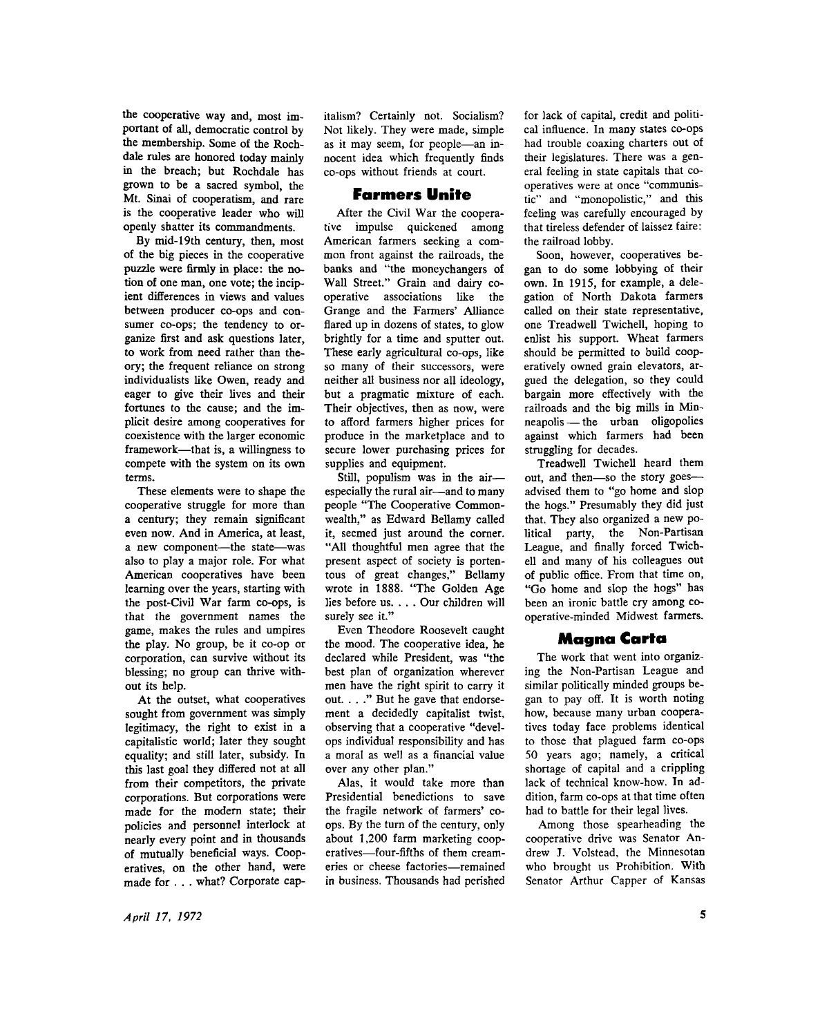the cooperative way and, most important of all, democratic control by the membership. Some of the Rochdale rules are honored today mainly in the breach; but Rochdale has grown to be a sacred symbol, the Mt. Sinai of cooperatism, and rare is the cooperative leader who will openly shatter its commandments.

By mid-19th century, then, most of the big pieces in the cooperative puzzle were firmly in place: the notion of one man, one vote; the incipient differences in views and values between producer co-ops and consumer co-ops; the tendency to organize first and ask questions later, to work from need rather than theory; the frequent reliance on strong individualists like Owen, ready and eager to give their lives and their fortunes to the cause; and the implicit desire among cooperatives for coexistence with the larger economic framework—that is, a willingness to compete with the system on its own terms.

These elements were to shape the cooperative struggle for more than a century; they remain significant even now. And in America, at least, a new component—the state—was also to play a major role. For what American cooperatives have been learning over the years, starting with the post-Civil War farm co-ops, is that the government names the game, makes the rules and umpires the play. No group, be it co-op or corporation, can survive without its blessing; no group can thrive without its help.

At the outset, what cooperatives sought from government was simply legitimacy, the right to exist in a capitalistic world; later they sought equality; and still later, subsidy. In this last goal they differed not at all from their competitors, the private corporations. But corporations were made for the modern state; their policies and personnel interlock at nearly every point and in thousands of mutually beneficial ways. Cooperatives, on the other hand, were made for . . . what? Corporate capitalism? Certainly not. Socialism? Not likely. They were made, simple as it may seem, for people—an innocent idea which frequently finds co-ops without friends at court.

### **Farmers Unite**

After the Civil War the cooperative impulse quickened among American farmers seeking a common front against the railroads, the banks and "the moneychangers of Wall Street." Grain and dairy cooperative associations like the Grange and the Farmers' Alliance flared up in dozens of states, to glow brightly for a time and sputter out. These early agricultural co-ops, like so many of their successors, were neither all business nor all ideology, but a pragmatic mixture of each. Their objectives, then as now, were to afford farmers higher prices for produce in the marketplace and to secure lower purchasing prices for supplies and equipment.

Still, populism was in the air especially the rural air—and to many people "The Cooperative Commonwealth," as Edward Bellamy called it, seemed just around the corner. "All thoughtful men agree that the present aspect of society is portentous of great changes," Bellamy wrote in 1888. "The Golden Age lies before us. . . . Our children will surely see it."

Even Theodore Roosevelt caught the mood. The cooperative idea, he declared while President, was "the best plan of organization wherever men have the right spirit to carry it out. . . ." But he gave that endorsement a decidedly capitalist twist, observing that a cooperative "develops individual responsibility and has a moral as well as a financial value over any other plan."

Alas, it would take more than Presidential benedictions to save the fragile network of farmers' coops. By the turn of the century, only about 1,200 farm marketing cooperatives—four-fifths of them creameries or cheese factories—remained in business. Thousands had perished for lack of capital, credit and political influence. In many states co-ops had trouble coaxing charters out of their legislatures. There was a general feeling in state capitals that cooperatives were at once "communistic" and "monopolistic," and this feeling was carefully encouraged by that tireless defender of laissez faire: the railroad lobby.

Soon, however, cooperatives began to do some lobbying of their own. In 1915, for example, a delegation of North Dakota farmers called on their state representative, one Treadwell Twichell, hoping to enlist his support. Wheat farmers should be permitted to build cooperatively owned grain elevators, argued the delegation, so they could bargain more effectively with the railroads and the big mills in Min neapolis — the urban oligopolies against which farmers had been struggling for decades.

Treadwell Twichell heard them out, and then—so the story goes advised them to "go home and slop the hogs." Presumably they did just that. They also organized a new political party, the Non-Partisan League, and finally forced Twichell and many of his colleagues out of public office. From that time on, "Go home and slop the hogs" has been an ironic battle cry among cooperative-minded Midwest farmers.

#### Magna Carta

The work that went into organizing the Non-Partisan League and similar politically minded groups began to pay off. It is worth noting how, because many urban cooperatives today face problems identical to those that plagued farm co-ops 50 years ago; namely, a critical shortage of capital and a crippling lack of technical know-how. In addition, farm co-ops at that time often had to battle for their legal lives.

Among those spearheading the cooperative drive was Senator An drew J. Volstead, the Minnesotan who brought us Prohibition. With Senator Arthur Capper of Kansas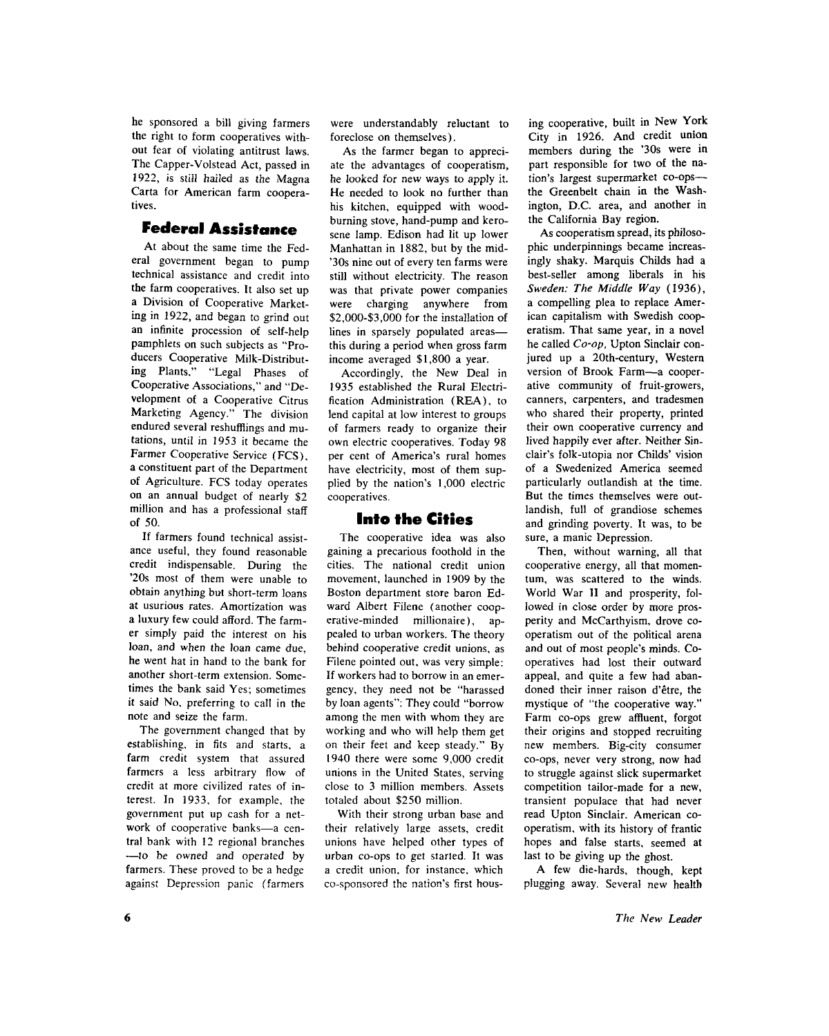he sponsored a bill giving farmers the right to form cooperatives without fear of violating antitrust laws. The Capper-Volstead Act, passed in 1922, is still hailed as the Magna Carta for American farm cooperatives.

### Federal Assistance

At about the same time the Federal government began to pump technical assistance and credit into the farm cooperatives. It also set up a Division of Cooperative Marketing in 1922, and began to grind out an infinite procession of self-help pamphlets on such subjects as "Producers Cooperative Milk-Distributing Plants," "Legal Phases of Cooperative Associations," and "Development of a Cooperative Citrus Marketing Agency." The division endured several reshufflings and mutations, until in 1953 it became the Farmer Cooperative Service (FCS), a constituent part of the Department of Agriculture. FCS today operates on an annual budget of nearly \$2 million and has a professional staff of 50.

If farmers found technical assistance useful, they found reasonable credit indispensable. During the '20s most of them were unable to obtain anything but short-term loans at usurious rates. Amortization was a luxury few could afford. The farmer simply paid the interest on his loan, and when the loan came due, he went hat in hand to the bank for another short-term extension. Sometimes the bank said Yes; sometimes it said No, preferring to call in the note and seize the farm.

The government changed that by establishing, in fits and starts, a farm credit system that assured farmers a less arbitrary flow of credit at more civilized rates of interest. In 1933, for example, the government put up cash for a network of cooperative banks—a central bank with 12 regional branches —to be owned and operated by farmers. These proved to be a hedge against Depression panic (farmers

were understandably reluctant to foreclose on themselves).

As the farmer began to appreciate the advantages of cooperatism, he looked for new ways to apply it. He needed to look no further than his kitchen, equipped with woodburning stove, hand-pump and kerosene lamp. Edison had lit up lower Manhattan in 1882, but by the mid- '30s nine out of every ten farms were still without electricity. The reason was that private power companies were charging anywhere from \$2,000-\$3,000 for the installation of lines in sparsely populated areas this during a period when gross farm income averaged \$1,800 a year.

Accordingly, the New Deal in 1935 established the Rural Electrification Administration (REA), to lend capital at low interest to groups of farmers ready to organize their own electric cooperatives. Today 98 per cent of America's rural homes have electricity, most of them supplied by the nation's 1,000 electric cooperatives.

#### Into the Cities

The cooperative idea was also gaining a precarious foothold in the cities. The national credit union movement, launched in 1909 by the Boston department store baron Ed ward Albert Filene (another cooperative-minded millionaire), appealed to urban workers. The theory behind cooperative credit unions, as Filene pointed out, was very simple: If workers had to borrow in an emergency, they need not be "harassed by loan agents": They could "borrow among the men with whom they are working and who will help them get on their feet and keep steady." By 1940 there were some 9,000 credit unions in the United States, serving close to 3 million members. Assets totaled about \$250 million.

With their strong urban base and their relatively large assets, credit unions have helped other types of urban co-ops to get started. It was a credit union, for instance, which co-sponsored the nation's first housing cooperative, built in New York City in 1926. And credit union members during the '30s were in part responsible for two of the nation's largest supermarket co-ops the Greenbelt chain in the Washington, D.C. area, and another in the California Bay region.

As cooperatism spread, its philosophic underpinnings became increasingly shaky. Marquis Childs had a best-seller among liberals in his *Sweden: The Middle Way* (1936), a compelling plea to replace American capitalism with Swedish cooperatism. That same year, in a novel he called *Co-op,* Upton Sinclair conjured up a 20th-century, Western version of Brook Farm—a cooperative community of fruit-growers, canners, carpenters, and tradesmen who shared their property, printed their own cooperative currency and lived happily ever after. Neither Sinclair's folk-utopia nor Childs' vision of a Swedenized America seemed particularly outlandish at the time. But the times themselves were outlandish, full of grandiose schemes and grinding poverty. It was, to be sure, a manic Depression.

Then, without warning, all that cooperative energy, all that momentum, was scattered to the winds. World War II and prosperity, followed in close order by more prosperity and McCarthyism, drove cooperatism out of the political arena and out of most people's minds. Cooperatives had lost their outward appeal, and quite a few had abandoned their inner raison d'etre, the mystique of "the cooperative way." Farm co-ops grew affluent, forgot their origins and stopped recruiting new members. Big-city consumer co-ops, never very strong, now had to struggle against slick supermarket competition tailor-made for a new, transient populace that had never read Upton Sinclair. American cooperatism, with its history of frantic hopes and false starts, seemed at last to be giving up the ghost.

A few die-hards, though, kept plugging away. Several new health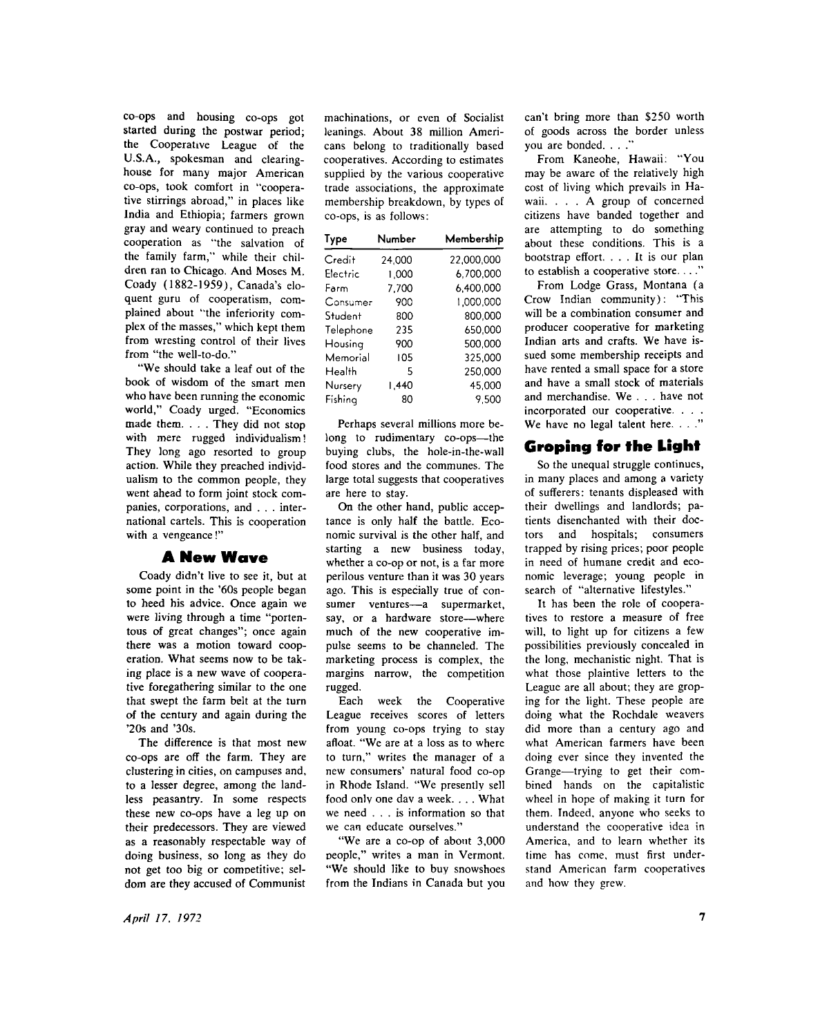co-ops and housing co-ops got started during the postwar period; the Cooperative League of the U.S.A. , spokesman and clearinghouse for many major American co-ops, took comfort in "cooperative stirrings abroad," in places like India and Ethiopia; farmers grown gray and weary continued to preach cooperation as "the salvation of the family farm," while their children ran to Chicago. And Moses M. Coady (1882-1959), Canada's eloquent guru of cooperatism, complained about "the inferiority complex of the masses," which kept them from wresting control of their lives from "the well-to-do."

"We should take a leaf out of the book of wisdom of the smart men who have been running the economic world," Coady urged. "Economics made them. . . . They did not stop with mere rugged individualism! They long ago resorted to group action. While they preached individualism to the common people, they went ahead to form joint stock companies, corporations, and . . . international cartels. This is cooperation with a vengeance!"

#### **A New Wave**

Coady didn't live to see it, but at some point in the '60s people began to heed his advice. Once again we were living through a time "portentous of great changes"; once again there was a motion toward cooperation. What seems now to be taking place is a new wave of cooperative foregathering similar to the one that swept the farm belt at the turn of the century and again during the '20s and '30s.

The difference is that most new co-ops are off the farm. They are clustering in cities, on campuses and, to a lesser degree, among the landless peasantry. In some respects these new co-ops have a leg up on their predecessors. They are viewed as a reasonably respectable way of doing business, so long as they do not get too big or competitive; seldom are they accused of Communist

machinations, or even of Socialist leanings. About 38 million Americans belong to traditionally based cooperatives. According to estimates supplied by the various cooperative trade associations, the approximate membership breakdown, by types of co-ops, is as follows:

| Type      | Number | Membership |
|-----------|--------|------------|
| Credit    | 24.000 | 22,000.000 |
| Electric  | 1.000  | 6,700,000  |
| Farm      | 7.700  | 6.400.000  |
| Consumer  | 900    | 1.000.000  |
| Student   | 800    | 800.000    |
| Telephone | 235    | 650,000    |
| Housing   | 900    | 500,000    |
| Memorial  | 105    | 325,000    |
| Health    | 5      | 250,000    |
| Nursery   | 1.440  | 45.000     |
| Fishina   | 80     | 9.500      |

Perhaps several millions more belong to rudimentary co-ops—the buying clubs, the hole-in-the-wall food stores and the communes. The large total suggests that cooperatives are here to stay.

On the other hand, public acceptance is only half the battle. Economic survival is the other half, and starting a new business today, whether a co-op or not, is a far more perilous venture than it was 30 years ago. This is especially true of consumer ventures—a supermarket, say, or a hardware store—where much of the new cooperative impulse seems to be channeled. The marketing process is complex, the margins narrow, the competition rugged.

Each week the Cooperative League receives scores of letters from young co-ops trying to stay afloat. "We are at a loss as to where to turn," writes the manager of a new consumers' natural food co-op in Rhode Island. "We presently sell food onlv one dav a week. . . . What we need .. . is information so that we can educate ourselves."

"We are a co-op of about 3,000 people," writes a man in Vermont. "We should like to buy snowshoes from the Indians in Canada but you can't bring more than \$250 worth of goods across the border unless you are bonded. . . ."

From Kaneohe, Hawaii: "You may be aware of the relatively high cost of living which prevails in Ha waii. . . . A group of concerned citizens have banded together and are attempting to do something about these conditions. This is a bootstrap effort. .. . It is our plan to establish a cooperative store. . . ."

From Lodge Grass, Montana (a Crow Indian community): 'This will be a combination consumer and producer cooperative for marketing Indian arts and crafts. We have issued some membership receipts and have rented a small space for a store and have a small stock of materials and merchandise. We . . . have not incorporated our cooperative. . . . We have no legal talent here. . . ."

# Groping for the Light

So the unequal struggle continues, in many places and among a variety of sufferers: tenants displeased with their dwellings and landlords; patients disenchanted with their doctors and hospitals; consumers trapped by rising prices; poor people in need of humane credit and economic leverage; young people in search of "alternative lifestyles."

It has been the role of cooperatives to restore a measure of free will, to light up for citizens a few possibilities previously concealed in the long, mechanistic night. That is what those plaintive letters to the League are all about; they are groping for the light. These people are doing what the Rochdale weavers did more than a century ago and what American farmers have been doing ever since they invented the Grange—trying to get their combined hands on the capitalistic wheel in hope of making it turn for them. Indeed, anyone who seeks to understand the cooperative idea in America, and to learn whether its time has come, must first understand American farm cooperatives and how they grew.